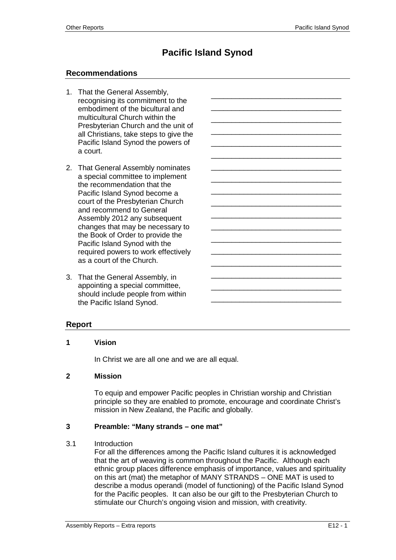\_\_\_\_\_\_\_\_\_\_\_\_\_\_\_\_\_\_\_\_\_\_\_\_\_\_\_\_\_\_\_\_ \_\_\_\_\_\_\_\_\_\_\_\_\_\_\_\_\_\_\_\_\_\_\_\_\_\_\_\_\_\_\_\_ \_\_\_\_\_\_\_\_\_\_\_\_\_\_\_\_\_\_\_\_\_\_\_\_\_\_\_\_\_\_\_\_ \_\_\_\_\_\_\_\_\_\_\_\_\_\_\_\_\_\_\_\_\_\_\_\_\_\_\_\_\_\_\_\_ \_\_\_\_\_\_\_\_\_\_\_\_\_\_\_\_\_\_\_\_\_\_\_\_\_\_\_\_\_\_\_\_ \_\_\_\_\_\_\_\_\_\_\_\_\_\_\_\_\_\_\_\_\_\_\_\_\_\_\_\_\_\_\_\_ \_\_\_\_\_\_\_\_\_\_\_\_\_\_\_\_\_\_\_\_\_\_\_\_\_\_\_\_\_\_\_\_ \_\_\_\_\_\_\_\_\_\_\_\_\_\_\_\_\_\_\_\_\_\_\_\_\_\_\_\_\_\_\_\_ \_\_\_\_\_\_\_\_\_\_\_\_\_\_\_\_\_\_\_\_\_\_\_\_\_\_\_\_\_\_\_\_ \_\_\_\_\_\_\_\_\_\_\_\_\_\_\_\_\_\_\_\_\_\_\_\_\_\_\_\_\_\_\_\_ \_\_\_\_\_\_\_\_\_\_\_\_\_\_\_\_\_\_\_\_\_\_\_\_\_\_\_\_\_\_\_\_ \_\_\_\_\_\_\_\_\_\_\_\_\_\_\_\_\_\_\_\_\_\_\_\_\_\_\_\_\_\_\_\_ \_\_\_\_\_\_\_\_\_\_\_\_\_\_\_\_\_\_\_\_\_\_\_\_\_\_\_\_\_\_\_\_ \_\_\_\_\_\_\_\_\_\_\_\_\_\_\_\_\_\_\_\_\_\_\_\_\_\_\_\_\_\_\_\_ \_\_\_\_\_\_\_\_\_\_\_\_\_\_\_\_\_\_\_\_\_\_\_\_\_\_\_\_\_\_\_\_ \_\_\_\_\_\_\_\_\_\_\_\_\_\_\_\_\_\_\_\_\_\_\_\_\_\_\_\_\_\_\_\_ \_\_\_\_\_\_\_\_\_\_\_\_\_\_\_\_\_\_\_\_\_\_\_\_\_\_\_\_\_\_\_\_ \_\_\_\_\_\_\_\_\_\_\_\_\_\_\_\_\_\_\_\_\_\_\_\_\_\_\_\_\_\_\_\_

# **Pacific Island Synod**

# **Recommendations**

- 1. That the General Assembly, recognising its commitment to the embodiment of the bicultural and multicultural Church within the Presbyterian Church and the unit of all Christians, take steps to give the Pacific Island Synod the powers of a court.
- 2. That General Assembly nominates a special committee to implement the recommendation that the Pacific Island Synod become a court of the Presbyterian Church and recommend to General Assembly 2012 any subsequent changes that may be necessary to the Book of Order to provide the Pacific Island Synod with the required powers to work effectively as a court of the Church.
- 3. That the General Assembly, in appointing a special committee, should include people from within the Pacific Island Synod.

# **Report**

#### **1 Vision**

In Christ we are all one and we are all equal.

## **2 Mission**

To equip and empower Pacific peoples in Christian worship and Christian principle so they are enabled to promote, encourage and coordinate Christ's mission in New Zealand, the Pacific and globally.

#### **3 Preamble: "Many strands – one mat"**

#### 3.1 Introduction

For all the differences among the Pacific Island cultures it is acknowledged that the art of weaving is common throughout the Pacific. Although each ethnic group places difference emphasis of importance, values and spirituality on this art (mat) the metaphor of MANY STRANDS – ONE MAT is used to describe a modus operandi (model of functioning) of the Pacific Island Synod for the Pacific peoples. It can also be our gift to the Presbyterian Church to stimulate our Church's ongoing vision and mission, with creativity.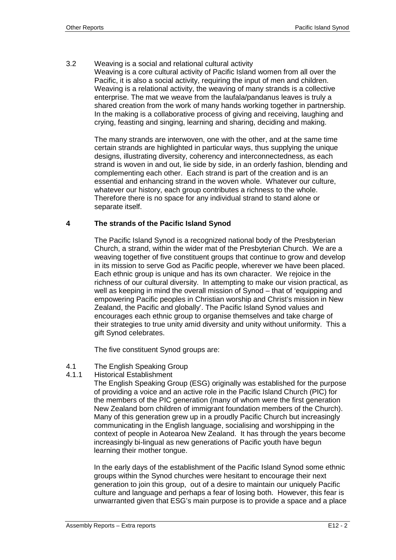3.2 Weaving is a social and relational cultural activity

Weaving is a core cultural activity of Pacific Island women from all over the Pacific, it is also a social activity, requiring the input of men and children. Weaving is a relational activity, the weaving of many strands is a collective enterprise. The mat we weave from the laufala/pandanus leaves is truly a shared creation from the work of many hands working together in partnership. In the making is a collaborative process of giving and receiving, laughing and crying, feasting and singing, learning and sharing, deciding and making.

The many strands are interwoven, one with the other, and at the same time certain strands are highlighted in particular ways, thus supplying the unique designs, illustrating diversity, coherency and interconnectedness, as each strand is woven in and out, lie side by side, in an orderly fashion, blending and complementing each other. Each strand is part of the creation and is an essential and enhancing strand in the woven whole. Whatever our culture, whatever our history, each group contributes a richness to the whole. Therefore there is no space for any individual strand to stand alone or separate itself.

# **4 The strands of the Pacific Island Synod**

The Pacific Island Synod is a recognized national body of the Presbyterian Church, a strand, within the wider mat of the Presbyterian Church. We are a weaving together of five constituent groups that continue to grow and develop in its mission to serve God as Pacific people, wherever we have been placed. Each ethnic group is unique and has its own character. We rejoice in the richness of our cultural diversity. In attempting to make our vision practical, as well as keeping in mind the overall mission of Synod – that of 'equipping and empowering Pacific peoples in Christian worship and Christ's mission in New Zealand, the Pacific and globally'. The Pacific Island Synod values and encourages each ethnic group to organise themselves and take charge of their strategies to true unity amid diversity and unity without uniformity. This a gift Synod celebrates.

The five constituent Synod groups are:

- 4.1 The English Speaking Group
- 4.1.1 Historical Establishment

The English Speaking Group (ESG) originally was established for the purpose of providing a voice and an active role in the Pacific Island Church (PIC) for the members of the PIC generation (many of whom were the first generation New Zealand born children of immigrant foundation members of the Church). Many of this generation grew up in a proudly Pacific Church but increasingly communicating in the English language, socialising and worshipping in the context of people in Aotearoa New Zealand. It has through the years become increasingly bi-lingual as new generations of Pacific youth have begun learning their mother tongue.

In the early days of the establishment of the Pacific Island Synod some ethnic groups within the Synod churches were hesitant to encourage their next generation to join this group, out of a desire to maintain our uniquely Pacific culture and language and perhaps a fear of losing both. However, this fear is unwarranted given that ESG's main purpose is to provide a space and a place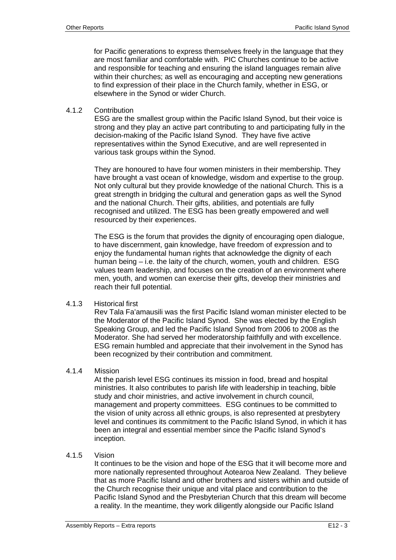for Pacific generations to express themselves freely in the language that they are most familiar and comfortable with. PIC Churches continue to be active and responsible for teaching and ensuring the island languages remain alive within their churches; as well as encouraging and accepting new generations to find expression of their place in the Church family, whether in ESG, or elsewhere in the Synod or wider Church.

## 4.1.2 Contribution

ESG are the smallest group within the Pacific Island Synod, but their voice is strong and they play an active part contributing to and participating fully in the decision-making of the Pacific Island Synod. They have five active representatives within the Synod Executive, and are well represented in various task groups within the Synod.

They are honoured to have four women ministers in their membership. They have brought a vast ocean of knowledge, wisdom and expertise to the group. Not only cultural but they provide knowledge of the national Church. This is a great strength in bridging the cultural and generation gaps as well the Synod and the national Church. Their gifts, abilities, and potentials are fully recognised and utilized. The ESG has been greatly empowered and well resourced by their experiences.

The ESG is the forum that provides the dignity of encouraging open dialogue, to have discernment, gain knowledge, have freedom of expression and to enjoy the fundamental human rights that acknowledge the dignity of each human being – i.e. the laity of the church, women, youth and children. ESG values team leadership, and focuses on the creation of an environment where men, youth, and women can exercise their gifts, develop their ministries and reach their full potential.

#### 4.1.3 Historical first

Rev Tala Fa'amausili was the first Pacific Island woman minister elected to be the Moderator of the Pacific Island Synod. She was elected by the English Speaking Group, and led the Pacific Island Synod from 2006 to 2008 as the Moderator. She had served her moderatorship faithfully and with excellence. ESG remain humbled and appreciate that their involvement in the Synod has been recognized by their contribution and commitment.

# 4.1.4 Mission

At the parish level ESG continues its mission in food, bread and hospital ministries. It also contributes to parish life with leadership in teaching, bible study and choir ministries, and active involvement in church council, management and property committees. ESG continues to be committed to the vision of unity across all ethnic groups, is also represented at presbytery level and continues its commitment to the Pacific Island Synod, in which it has been an integral and essential member since the Pacific Island Synod's inception.

#### 4.1.5 Vision

It continues to be the vision and hope of the ESG that it will become more and more nationally represented throughout Aotearoa New Zealand. They believe that as more Pacific Island and other brothers and sisters within and outside of the Church recognise their unique and vital place and contribution to the Pacific Island Synod and the Presbyterian Church that this dream will become a reality. In the meantime, they work diligently alongside our Pacific Island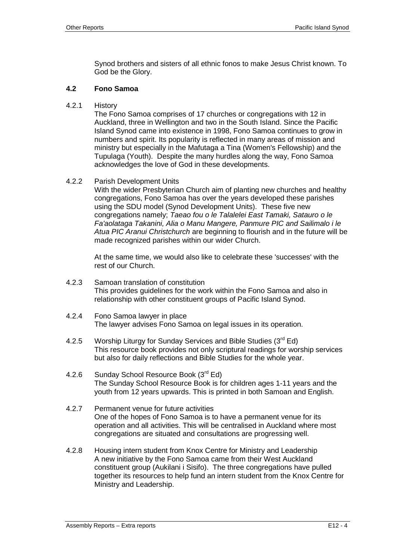Synod brothers and sisters of all ethnic fonos to make Jesus Christ known. To God be the Glory.

#### **4.2 Fono Samoa**

4.2.1 History

The Fono Samoa comprises of 17 churches or congregations with 12 in Auckland, three in Wellington and two in the South Island. Since the Pacific Island Synod came into existence in 1998, Fono Samoa continues to grow in numbers and spirit. Its popularity is reflected in many areas of mission and ministry but especially in the Mafutaga a Tina (Women's Fellowship) and the Tupulaga (Youth). Despite the many hurdles along the way, Fono Samoa acknowledges the love of God in these developments.

#### 4.2.2 Parish Development Units

With the wider Presbyterian Church aim of planting new churches and healthy congregations, Fono Samoa has over the years developed these parishes using the SDU model (Synod Development Units). These five new congregations namely; *Taeao fou o le Talalelei East Tamaki, Satauro o le Fa'aolataga Takanini, Alia o Manu Mangere, Panmure PIC and Sailimalo i le Atua PIC Aranui Christchurch* are beginning to flourish and in the future will be made recognized parishes within our wider Church.

At the same time, we would also like to celebrate these 'successes' with the rest of our Church.

- 4.2.3 Samoan translation of constitution This provides guidelines for the work within the Fono Samoa and also in relationship with other constituent groups of Pacific Island Synod.
- 4.2.4 Fono Samoa lawyer in place The lawyer advises Fono Samoa on legal issues in its operation.
- 4.2.5 Worship Liturgy for Sunday Services and Bible Studies (3<sup>rd</sup> Ed) This resource book provides not only scriptural readings for worship services but also for daily reflections and Bible Studies for the whole year.
- 4.2.6 Sunday School Resource Book (3rd Ed) The Sunday School Resource Book is for children ages 1-11 years and the youth from 12 years upwards. This is printed in both Samoan and English.
- 4.2.7 Permanent venue for future activities One of the hopes of Fono Samoa is to have a permanent venue for its operation and all activities. This will be centralised in Auckland where most congregations are situated and consultations are progressing well.
- 4.2.8 Housing intern student from Knox Centre for Ministry and Leadership A new initiative by the Fono Samoa came from their West Auckland constituent group (Aukilani i Sisifo). The three congregations have pulled together its resources to help fund an intern student from the Knox Centre for Ministry and Leadership.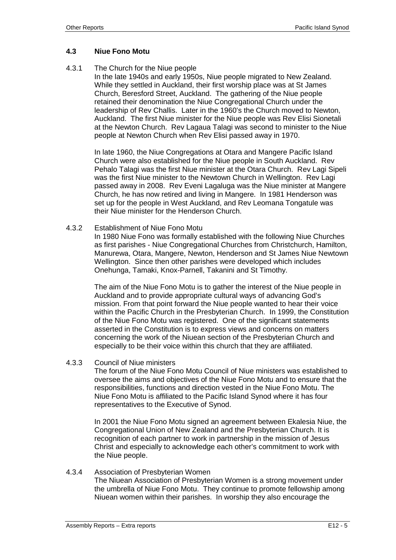# **4.3 Niue Fono Motu**

4.3.1 The Church for the Niue people

In the late 1940s and early 1950s, Niue people migrated to New Zealand. While they settled in Auckland, their first worship place was at St James Church, Beresford Street, Auckland. The gathering of the Niue people retained their denomination the Niue Congregational Church under the leadership of Rev Challis. Later in the 1960's the Church moved to Newton, Auckland. The first Niue minister for the Niue people was Rev Elisi Sionetali at the Newton Church. Rev Lagaua Talagi was second to minister to the Niue people at Newton Church when Rev Elisi passed away in 1970.

In late 1960, the Niue Congregations at Otara and Mangere Pacific Island Church were also established for the Niue people in South Auckland. Rev Pehalo Talagi was the first Niue minister at the Otara Church. Rev Lagi Sipeli was the first Niue minister to the Newtown Church in Wellington. Rev Lagi passed away in 2008. Rev Eveni Lagaluga was the Niue minister at Mangere Church, he has now retired and living in Mangere. In 1981 Henderson was set up for the people in West Auckland, and Rev Leomana Tongatule was their Niue minister for the Henderson Church.

#### 4.3.2 Establishment of Niue Fono Motu

In 1980 Niue Fono was formally established with the following Niue Churches as first parishes - Niue Congregational Churches from Christchurch, Hamilton, Manurewa, Otara, Mangere, Newton, Henderson and St James Niue Newtown Wellington. Since then other parishes were developed which includes Onehunga, Tamaki, Knox-Parnell, Takanini and St Timothy.

The aim of the Niue Fono Motu is to gather the interest of the Niue people in Auckland and to provide appropriate cultural ways of advancing God's mission. From that point forward the Niue people wanted to hear their voice within the Pacific Church in the Presbyterian Church. In 1999, the Constitution of the Niue Fono Motu was registered. One of the significant statements asserted in the Constitution is to express views and concerns on matters concerning the work of the Niuean section of the Presbyterian Church and especially to be their voice within this church that they are affiliated.

4.3.3 Council of Niue ministers

The forum of the Niue Fono Motu Council of Niue ministers was established to oversee the aims and objectives of the Niue Fono Motu and to ensure that the responsibilities, functions and direction vested in the Niue Fono Motu. The Niue Fono Motu is affiliated to the Pacific Island Synod where it has four representatives to the Executive of Synod.

In 2001 the Niue Fono Motu signed an agreement between Ekalesia Niue, the Congregational Union of New Zealand and the Presbyterian Church. It is recognition of each partner to work in partnership in the mission of Jesus Christ and especially to acknowledge each other's commitment to work with the Niue people.

#### 4.3.4 Association of Presbyterian Women

The Niuean Association of Presbyterian Women is a strong movement under the umbrella of Niue Fono Motu. They continue to promote fellowship among Niuean women within their parishes. In worship they also encourage the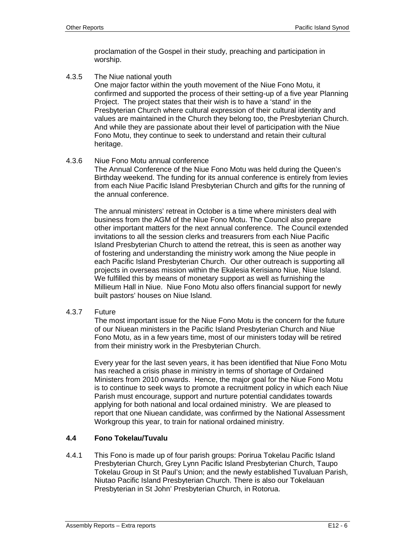proclamation of the Gospel in their study, preaching and participation in worship.

4.3.5 The Niue national youth

One major factor within the youth movement of the Niue Fono Motu, it confirmed and supported the process of their setting-up of a five year Planning Project. The project states that their wish is to have a 'stand' in the Presbyterian Church where cultural expression of their cultural identity and values are maintained in the Church they belong too, the Presbyterian Church. And while they are passionate about their level of participation with the Niue Fono Motu, they continue to seek to understand and retain their cultural heritage.

# 4.3.6 Niue Fono Motu annual conference

The Annual Conference of the Niue Fono Motu was held during the Queen's Birthday weekend. The funding for its annual conference is entirely from levies from each Niue Pacific Island Presbyterian Church and gifts for the running of the annual conference.

The annual ministers' retreat in October is a time where ministers deal with business from the AGM of the Niue Fono Motu. The Council also prepare other important matters for the next annual conference. The Council extended invitations to all the session clerks and treasurers from each Niue Pacific Island Presbyterian Church to attend the retreat, this is seen as another way of fostering and understanding the ministry work among the Niue people in each Pacific Island Presbyterian Church. Our other outreach is supporting all projects in overseas mission within the Ekalesia Kerisiano Niue, Niue Island. We fulfilled this by means of monetary support as well as furnishing the Millieum Hall in Niue. Niue Fono Motu also offers financial support for newly built pastors' houses on Niue Island.

4.3.7 Future

The most important issue for the Niue Fono Motu is the concern for the future of our Niuean ministers in the Pacific Island Presbyterian Church and Niue Fono Motu, as in a few years time, most of our ministers today will be retired from their ministry work in the Presbyterian Church.

Every year for the last seven years, it has been identified that Niue Fono Motu has reached a crisis phase in ministry in terms of shortage of Ordained Ministers from 2010 onwards. Hence, the major goal for the Niue Fono Motu is to continue to seek ways to promote a recruitment policy in which each Niue Parish must encourage, support and nurture potential candidates towards applying for both national and local ordained ministry. We are pleased to report that one Niuean candidate, was confirmed by the National Assessment Workgroup this year, to train for national ordained ministry.

# **4.4 Fono Tokelau/Tuvalu**

4.4.1 This Fono is made up of four parish groups: Porirua Tokelau Pacific Island Presbyterian Church, Grey Lynn Pacific Island Presbyterian Church, Taupo Tokelau Group in St Paul's Union; and the newly established Tuvaluan Parish, Niutao Pacific Island Presbyterian Church. There is also our Tokelauan Presbyterian in St John' Presbyterian Church, in Rotorua.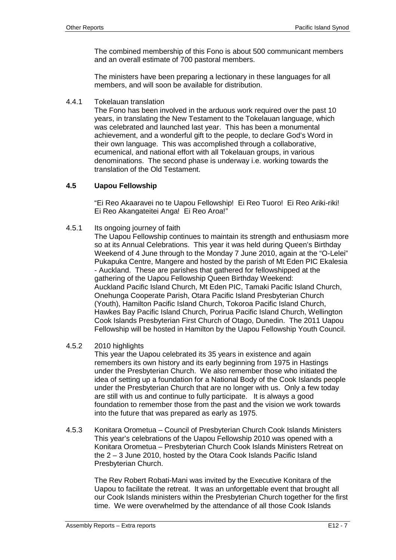The combined membership of this Fono is about 500 communicant members and an overall estimate of 700 pastoral members.

The ministers have been preparing a lectionary in these languages for all members, and will soon be available for distribution.

4.4.1 Tokelauan translation

The Fono has been involved in the arduous work required over the past 10 years, in translating the New Testament to the Tokelauan language, which was celebrated and launched last year. This has been a monumental achievement, and a wonderful gift to the people, to declare God's Word in their own language. This was accomplished through a collaborative, ecumenical, and national effort with all Tokelauan groups, in various denominations. The second phase is underway i.e. working towards the translation of the Old Testament.

# **4.5 Uapou Fellowship**

"Ei Reo Akaaravei no te Uapou Fellowship! Ei Reo Tuoro! Ei Reo Ariki-riki! Ei Reo Akangateitei Anga! Ei Reo Aroa!"

4.5.1 Its ongoing journey of faith

The Uapou Fellowship continues to maintain its strength and enthusiasm more so at its Annual Celebrations. This year it was held during Queen's Birthday Weekend of 4 June through to the Monday 7 June 2010, again at the "O-Lelei" Pukapuka Centre, Mangere and hosted by the parish of Mt Eden PIC Ekalesia - Auckland. These are parishes that gathered for fellowshipped at the gathering of the Uapou Fellowship Queen Birthday Weekend: Auckland Pacific Island Church, Mt Eden PIC, Tamaki Pacific Island Church, Onehunga Cooperate Parish, Otara Pacific Island Presbyterian Church (Youth), Hamilton Pacific Island Church, Tokoroa Pacific Island Church, Hawkes Bay Pacific Island Church, Porirua Pacific Island Church, Wellington Cook Islands Presbyterian First Church of Otago, Dunedin. The 2011 Uapou Fellowship will be hosted in Hamilton by the Uapou Fellowship Youth Council.

4.5.2 2010 highlights

This year the Uapou celebrated its 35 years in existence and again remembers its own history and its early beginning from 1975 in Hastings under the Presbyterian Church. We also remember those who initiated the idea of setting up a foundation for a National Body of the Cook Islands people under the Presbyterian Church that are no longer with us. Only a few today are still with us and continue to fully participate. It is always a good foundation to remember those from the past and the vision we work towards into the future that was prepared as early as 1975.

4.5.3 Konitara Orometua – Council of Presbyterian Church Cook Islands Ministers This year's celebrations of the Uapou Fellowship 2010 was opened with a Konitara Orometua – Presbyterian Church Cook Islands Ministers Retreat on the 2 – 3 June 2010, hosted by the Otara Cook Islands Pacific Island Presbyterian Church.

The Rev Robert Robati-Mani was invited by the Executive Konitara of the Uapou to facilitate the retreat. It was an unforgettable event that brought all our Cook Islands ministers within the Presbyterian Church together for the first time. We were overwhelmed by the attendance of all those Cook Islands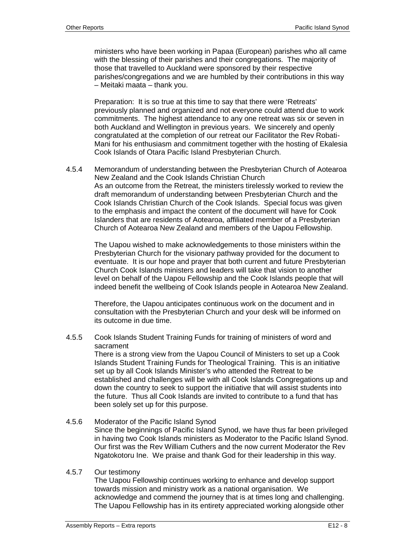ministers who have been working in Papaa (European) parishes who all came with the blessing of their parishes and their congregations. The majority of those that travelled to Auckland were sponsored by their respective parishes/congregations and we are humbled by their contributions in this way – Meitaki maata – thank you.

Preparation: It is so true at this time to say that there were 'Retreats' previously planned and organized and not everyone could attend due to work commitments. The highest attendance to any one retreat was six or seven in both Auckland and Wellington in previous years. We sincerely and openly congratulated at the completion of our retreat our Facilitator the Rev Robati-Mani for his enthusiasm and commitment together with the hosting of Ekalesia Cook Islands of Otara Pacific Island Presbyterian Church.

4.5.4 Memorandum of understanding between the Presbyterian Church of Aotearoa New Zealand and the Cook Islands Christian Church As an outcome from the Retreat, the ministers tirelessly worked to review the draft memorandum of understanding between Presbyterian Church and the Cook Islands Christian Church of the Cook Islands. Special focus was given to the emphasis and impact the content of the document will have for Cook Islanders that are residents of Aotearoa, affiliated member of a Presbyterian Church of Aotearoa New Zealand and members of the Uapou Fellowship.

The Uapou wished to make acknowledgements to those ministers within the Presbyterian Church for the visionary pathway provided for the document to eventuate. It is our hope and prayer that both current and future Presbyterian Church Cook Islands ministers and leaders will take that vision to another level on behalf of the Uapou Fellowship and the Cook Islands people that will indeed benefit the wellbeing of Cook Islands people in Aotearoa New Zealand.

Therefore, the Uapou anticipates continuous work on the document and in consultation with the Presbyterian Church and your desk will be informed on its outcome in due time.

4.5.5 Cook Islands Student Training Funds for training of ministers of word and sacrament

There is a strong view from the Uapou Council of Ministers to set up a Cook Islands Student Training Funds for Theological Training. This is an initiative set up by all Cook Islands Minister's who attended the Retreat to be established and challenges will be with all Cook Islands Congregations up and down the country to seek to support the initiative that will assist students into the future. Thus all Cook Islands are invited to contribute to a fund that has been solely set up for this purpose.

4.5.6 Moderator of the Pacific Island Synod Since the beginnings of Pacific Island Synod, we have thus far been privileged in having two Cook Islands ministers as Moderator to the Pacific Island Synod. Our first was the Rev William Cuthers and the now current Moderator the Rev Ngatokotoru Ine. We praise and thank God for their leadership in this way.

#### 4.5.7 Our testimony

The Uapou Fellowship continues working to enhance and develop support towards mission and ministry work as a national organisation. We acknowledge and commend the journey that is at times long and challenging. The Uapou Fellowship has in its entirety appreciated working alongside other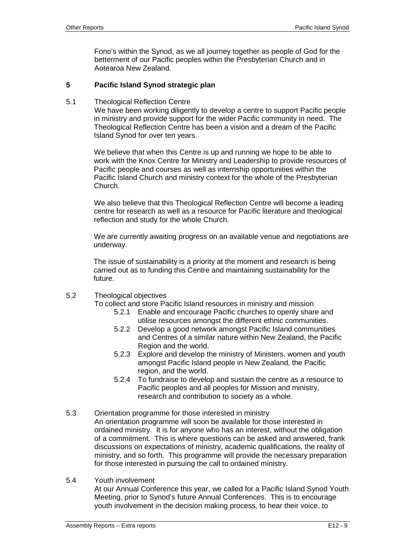Fono's within the Synod, as we all journey together as people of God for the betterment of our Pacific peoples within the Presbyterian Church and in Aotearoa New Zealand.

## **5 Pacific Island Synod strategic plan**

5.1 Theological Reflection Centre

We have been working diligently to develop a centre to support Pacific people in ministry and provide support for the wider Pacific community in need. The Theological Reflection Centre has been a vision and a dream of the Pacific Island Synod for over ten years.

We believe that when this Centre is up and running we hope to be able to work with the Knox Centre for Ministry and Leadership to provide resources of Pacific people and courses as well as internship opportunities within the Pacific Island Church and ministry context for the whole of the Presbyterian Church.

We also believe that this Theological Reflection Centre will become a leading centre for research as well as a resource for Pacific literature and theological reflection and study for the whole Church.

We are currently awaiting progress on an available venue and negotiations are underway.

The issue of sustainability is a priority at the moment and research is being carried out as to funding this Centre and maintaining sustainability for the future.

5.2 Theological objectives

To collect and store Pacific Island resources in ministry and mission

- 5.2.1 Enable and encourage Pacific churches to openly share and utilise resources amongst the different ethnic communities.
- 5.2.2 Develop a good network amongst Pacific Island communities and Centres of a similar nature within New Zealand, the Pacific Region and the world.
- 5.2.3 Explore and develop the ministry of Ministers, women and youth amongst Pacific Island people in New Zealand, the Pacific region, and the world.
- 5.2.4 To fundraise to develop and sustain the centre as a resource to Pacific peoples and all peoples for Mission and ministry, research and contribution to society as a whole.
- 5.3 Orientation programme for those interested in ministry An orientation programme will soon be available for those interested in ordained ministry. It is for anyone who has an interest, without the obligation of a commitment. This is where questions can be asked and answered, frank discussions on expectations of ministry, academic qualifications, the reality of ministry, and so forth. This programme will provide the necessary preparation for those interested in pursuing the call to ordained ministry.
- 5.4 Youth involvement At our Annual Conference this year, we called for a Pacific Island Synod Youth Meeting, prior to Synod's future Annual Conferences. This is to encourage youth involvement in the decision making process, to hear their voice, to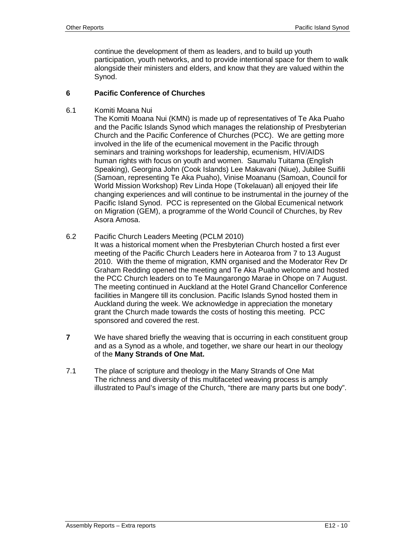continue the development of them as leaders, and to build up youth participation, youth networks, and to provide intentional space for them to walk alongside their ministers and elders, and know that they are valued within the Synod.

#### **6 Pacific Conference of Churches**

6.1 Komiti Moana Nui

The Komiti Moana Nui (KMN) is made up of representatives of Te Aka Puaho and the Pacific Islands Synod which manages the relationship of Presbyterian Church and the Pacific Conference of Churches (PCC). We are getting more involved in the life of the ecumenical movement in the Pacific through seminars and training workshops for leadership, ecumenism, HIV/AIDS human rights with focus on youth and women. Saumalu Tuitama (English Speaking), Georgina John (Cook Islands) Lee Makavani (Niue), Jubilee Suifili (Samoan, representing Te Aka Puaho), Vinise Moananu (Samoan, Council for World Mission Workshop) Rev Linda Hope (Tokelauan) all enjoyed their life changing experiences and will continue to be instrumental in the journey of the Pacific Island Synod. PCC is represented on the Global Ecumenical network on Migration (GEM), a programme of the World Council of Churches, by Rev Asora Amosa.

6.2 Pacific Church Leaders Meeting (PCLM 2010)

It was a historical moment when the Presbyterian Church hosted a first ever meeting of the Pacific Church Leaders here in Aotearoa from 7 to 13 August 2010. With the theme of migration, KMN organised and the Moderator Rev Dr Graham Redding opened the meeting and Te Aka Puaho welcome and hosted the PCC Church leaders on to Te Maungarongo Marae in Ohope on 7 August. The meeting continued in Auckland at the Hotel Grand Chancellor Conference facilities in Mangere till its conclusion. Pacific Islands Synod hosted them in Auckland during the week. We acknowledge in appreciation the monetary grant the Church made towards the costs of hosting this meeting. PCC sponsored and covered the rest.

- **7** We have shared briefly the weaving that is occurring in each constituent group and as a Synod as a whole, and together, we share our heart in our theology of the **Many Strands of One Mat.**
- 7.1 The place of scripture and theology in the Many Strands of One Mat The richness and diversity of this multifaceted weaving process is amply illustrated to Paul's image of the Church, "there are many parts but one body".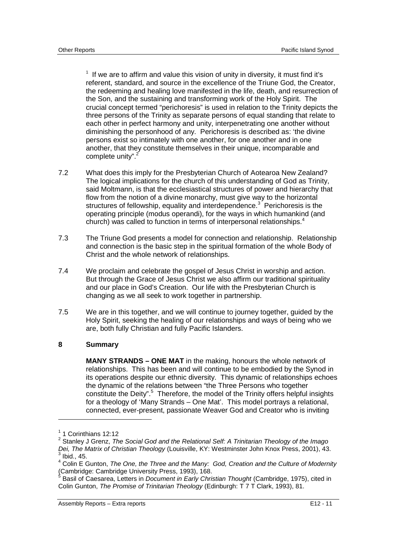$1$  If we are to affirm and value this vision of unity in diversity, it must find it's referent, standard, and source in the excellence of the Triune God, the Creator, the redeeming and healing love manifested in the life, death, and resurrection of the Son, and the sustaining and transforming work of the Holy Spirit. The crucial concept termed "perichoresis" is used in relation to the Trinity depicts the three persons of the Trinity as separate persons of equal standing that relate to each other in perfect harmony and unity, interpenetrating one another without diminishing the personhood of any. Perichoresis is described as: 'the divine persons exist so intimately with one another, for one another and in one another, that they constitute themselves in their unique, incomparable and complete unity".<sup>2</sup>

- 7.2 What does this imply for the Presbyterian Church of Aotearoa New Zealand? The logical implications for the church of this understanding of God as Trinity, said Moltmann, is that the ecclesiastical structures of power and hierarchy that flow from the notion of a divine monarchy, must give way to the horizontal structures of fellowship, equality and interdependence.<sup>3</sup> Perichoresis is the operating principle (modus operandi), for the ways in which humankind (and church) was called to function in terms of interpersonal relationships.<sup>4</sup>
- 7.3 The Triune God presents a model for connection and relationship. Relationship and connection is the basic step in the spiritual formation of the whole Body of Christ and the whole network of relationships.
- 7.4 We proclaim and celebrate the gospel of Jesus Christ in worship and action. But through the Grace of Jesus Christ we also affirm our traditional spirituality and our place in God's Creation. Our life with the Presbyterian Church is changing as we all seek to work together in partnership.
- 7.5 We are in this together, and we will continue to journey together, guided by the Holy Spirit, seeking the healing of our relationships and ways of being who we are, both fully Christian and fully Pacific Islanders.

#### **8 Summary**

**MANY STRANDS – ONE MAT** in the making, honours the whole network of relationships. This has been and will continue to be embodied by the Synod in its operations despite our ethnic diversity. This dynamic of relationships echoes the dynamic of the relations between "the Three Persons who together constitute the Deity".<sup>5</sup> Therefore, the model of the Trinity offers helpful insights for a theology of 'Many Strands – One Mat'. This model portrays a relational, connected, ever-present, passionate Weaver God and Creator who is inviting

<sup>&</sup>lt;sup>1</sup> 1 Corinthians 12:12

<sup>2</sup> Stanley J Grenz, *The Social God and the Relational Self: A Trinitarian Theology of the Imago Dei, The Matrix of Christian Theology* (Louisville, KY: Westminster John Knox Press, 2001), 43. 3 Ibid., 45.

<sup>4</sup> Colin E Gunton, *The One, the Three and the Many: God, Creation and the Culture of Modernity* Cambridge: Cambridge University Press, 1993), 168.<br><sup>5</sup> Beejl of Cassarse, Latters in Desument in Fark: Christ

Basil of Caesarea, Letters in *Document in Early Christian Thought* (Cambridge, 1975), cited in Colin Gunton, *The Promise of Trinitarian Theology* (Edinburgh: T 7 T Clark, 1993), 81.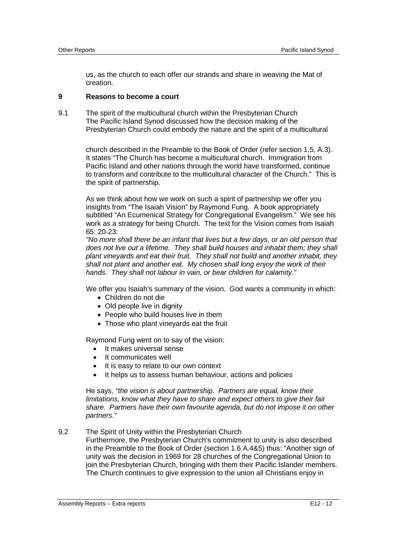us, as the church to each offer our strands and share in weaving the Mat of creation.

#### **9 Reasons to become a court**

9.1 The spirit of the multicultural church within the Presbyterian Church The Pacific Island Synod discussed how the decision making of the Presbyterian Church could embody the nature and the spirit of a multicultural

> church described in the Preamble to the Book of Order (refer section 1.5, A.3). It states "The Church has become a multicultural church. Immigration from Pacific Island and other nations through the world have transformed, continue to transform and contribute to the multicultural character of the Church." This is the spirit of partnership.

> As we think about how we work on such a spirit of partnership we offer you insights from "The Isaiah Vision" by Raymond Fung. A book appropriately subtitled "An Ecumenical Strategy for Congregational Evangelism." We see his work as a strategy for being Church. The text for the Vision comes from Isaiah 65: 20-23:

> *"No more shall there be an infant that lives but a few days, or an old person that does not live out a lifetime. They shall build houses and inhabit them; they shall plant vineyards and eat their fruit. They shall not build and another inhabit, they shall not plant and another eat. My chosen shall long enjoy the work of their hands. They shall not labour in vain, or bear children for calamity."*

> We offer you Isaiah's summary of the vision. God wants a community in which:

- Children do not die
- Old people live in dignity
- People who build houses live in them
- Those who plant vineyards eat the fruit

Raymond Fung went on to say of the vision:

- It makes universal sense
- **It communicates well**
- It is easy to relate to our own context
- It helps us to assess human behaviour, actions and policies

He says, *"the vision is about partnership. Partners are equal, know their limitations, know what they have to share and expect others to give their fair share. Partners have their own favourite agenda, but do not impose it on other partners."*

9.2 The Spirit of Unity within the Presbyterian Church

Furthermore, the Presbyterian Church's commitment to unity is also described in the Preamble to the Book of Order (section 1.6 A.4&5) thus: "Another sign of unity was the decision in 1969 for 28 churches of the Congregational Union to join the Presbyterian Church, bringing with them their Pacific Islander members. The Church continues to give expression to the union all Christians enjoy in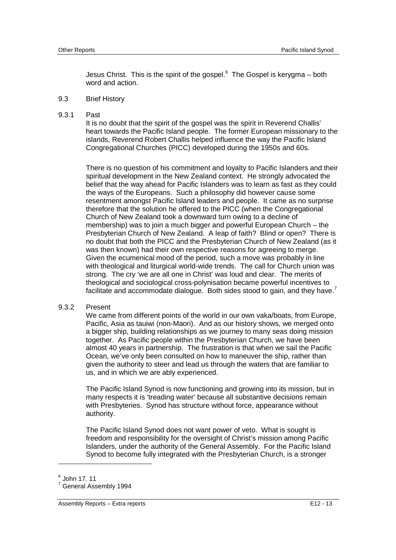Jesus Christ. This is the spirit of the gospel. $6$  The Gospel is kerygma – both word and action.

#### 9.3 Brief History

9.3.1 Past

It is no doubt that the spirit of the gospel was the spirit in Reverend Challis' heart towards the Pacific Island people. The former European missionary to the islands, Reverend Robert Challis helped influence the way the Pacific Island Congregational Churches (PICC) developed during the 1950s and 60s.

There is no question of his commitment and loyalty to Pacific Islanders and their spiritual development in the New Zealand context. He strongly advocated the belief that the way ahead for Pacific Islanders was to learn as fast as they could the ways of the Europeans. Such a philosophy did however cause some resentment amongst Pacific Island leaders and people. It came as no surprise therefore that the solution he offered to the PICC (when the Congregational Church of New Zealand took a downward turn owing to a decline of membership) was to join a much bigger and powerful European Church – the Presbyterian Church of New Zealand. A leap of faith? Blind or open? There is no doubt that both the PICC and the Presbyterian Church of New Zealand (as it was then known) had their own respective reasons for agreeing to merge. Given the ecumenical mood of the period, such a move was probably in line with theological and liturgical world-wide trends. The call for Church union was strong. The cry 'we are all one in Christ' was loud and clear. The merits of theological and sociological cross-polynisation became powerful incentives to facilitate and accommodate dialogue. Both sides stood to gain, and they have.<sup>7</sup>

#### 9.3.2 Present

We came from different points of the world in our own vaka/boats, from Europe, Pacific, Asia as tauiwi (non-Maori). And as our history shows, we merged onto a bigger ship, building relationships as we journey to many seas doing mission together. As Pacific people within the Presbyterian Church, we have been almost 40 years in partnership. The frustration is that when we sail the Pacific Ocean, we've only been consulted on how to maneuver the ship, rather than given the authority to steer and lead us through the waters that are familiar to us, and in which we are ably experienced.

The Pacific Island Synod is now functioning and growing into its mission, but in many respects it is 'treading water' because all substantive decisions remain with Presbyteries. Synod has structure without force, appearance without authority.

The Pacific Island Synod does not want power of veto. What is sought is freedom and responsibility for the oversight of Christ's mission among Pacific Islanders, under the authority of the General Assembly. For the Pacific Island Synod to become fully integrated with the Presbyterian Church, is a stronger

<sup>6</sup> John 17. 11

<sup>7</sup> General Assembly 1994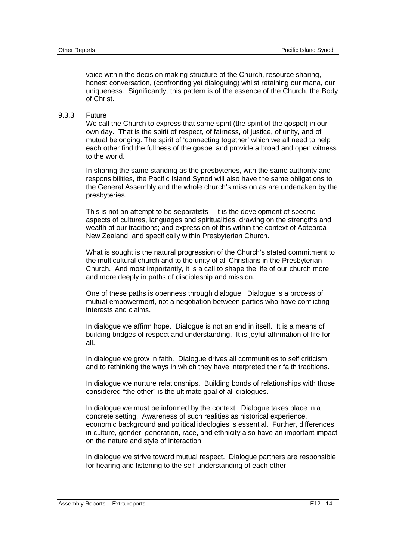voice within the decision making structure of the Church, resource sharing, honest conversation, (confronting yet dialoguing) whilst retaining our mana, our uniqueness. Significantly, this pattern is of the essence of the Church, the Body of Christ.

#### 9.3.3 Future

We call the Church to express that same spirit (the spirit of the gospel) in our own day. That is the spirit of respect, of fairness, of justice, of unity, and of mutual belonging. The spirit of 'connecting together' which we all need to help each other find the fullness of the gospel and provide a broad and open witness to the world.

In sharing the same standing as the presbyteries, with the same authority and responsibilities, the Pacific Island Synod will also have the same obligations to the General Assembly and the whole church's mission as are undertaken by the presbyteries.

This is not an attempt to be separatists – it is the development of specific aspects of cultures, languages and spiritualities, drawing on the strengths and wealth of our traditions; and expression of this within the context of Aotearoa New Zealand, and specifically within Presbyterian Church.

What is sought is the natural progression of the Church's stated commitment to the multicultural church and to the unity of all Christians in the Presbyterian Church. And most importantly, it is a call to shape the life of our church more and more deeply in paths of discipleship and mission.

One of these paths is openness through dialogue. Dialogue is a process of mutual empowerment, not a negotiation between parties who have conflicting interests and claims.

In dialogue we affirm hope. Dialogue is not an end in itself. It is a means of building bridges of respect and understanding. It is joyful affirmation of life for all.

In dialogue we grow in faith. Dialogue drives all communities to self criticism and to rethinking the ways in which they have interpreted their faith traditions.

In dialogue we nurture relationships. Building bonds of relationships with those considered "the other" is the ultimate goal of all dialogues.

In dialogue we must be informed by the context. Dialogue takes place in a concrete setting. Awareness of such realities as historical experience, economic background and political ideologies is essential. Further, differences in culture, gender, generation, race, and ethnicity also have an important impact on the nature and style of interaction.

In dialogue we strive toward mutual respect. Dialogue partners are responsible for hearing and listening to the self-understanding of each other.